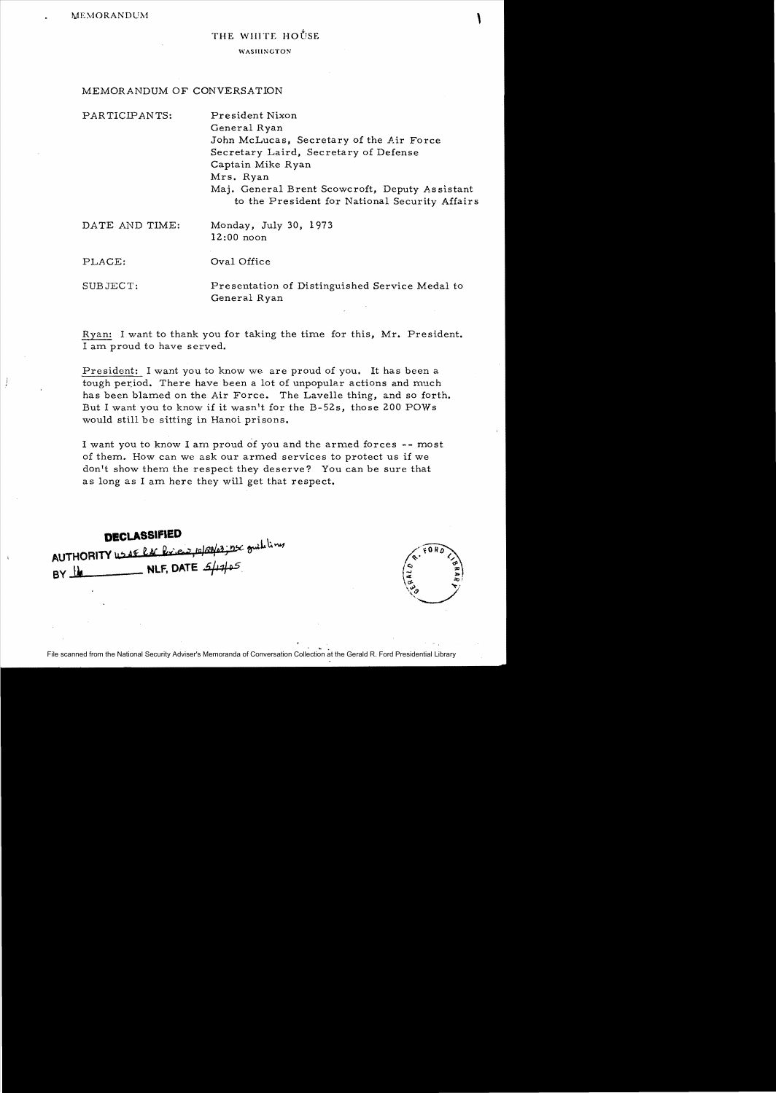## THE WHITE HOUSE

## WASIIINGTON

## MEMORANDUM OF CONVERSATION

| PARTICIPANTS:  | President Nixon                                                                                  |
|----------------|--------------------------------------------------------------------------------------------------|
|                | General Ryan                                                                                     |
|                | John McLucas, Secretary of the Air Force                                                         |
|                | Secretary Laird, Secretary of Defense                                                            |
|                | Captain Mike Ryan                                                                                |
|                | Mrs. Ryan                                                                                        |
|                | Maj. General Brent Scowcroft, Deputy Assistant<br>to the President for National Security Affairs |
| DATE AND TIME: | Monday, July 30, 1973<br>$12:00$ noon                                                            |
| PLACE:         | Oval Office                                                                                      |
| SUBJECT:       | Presentation of Distinguished Service Medal to<br>General Ryan                                   |

Ryan: I want to thank you for taking the time for this, Mr. President. I am proud to have served.

President: I want you to know we are proud of you. It has been a tough period. There have been a lot of unpopular actions and much has been blamed on the Air Force. The Lavelle thing, and so forth. But I want you to know if it wasn't for the B-52s, those 200 POWs would still be sitting in Hanoi prisons.

I want you to know I am proud of you and the armed forces -- most of them. How can we ask our armed services to protect us if we don't show them the respect they deserve? You can be sure that as long as I am here they will get that respect.

**DECLASSIFIED**   $\text{AUTHORITY}$  us if  $\ell$  is  $\ell$  is  $\frac{1}{2}$  to  $\frac{1}{2}$  for  $\frac{1}{2}$  for  $\frac{1}{2}$ **BY W**. **WLF, DATE**  $5/17/105$ .

File scanned from the National Security Adviser's Memoranda of Conversation Collection at the Gerald R. Ford Presidential Library